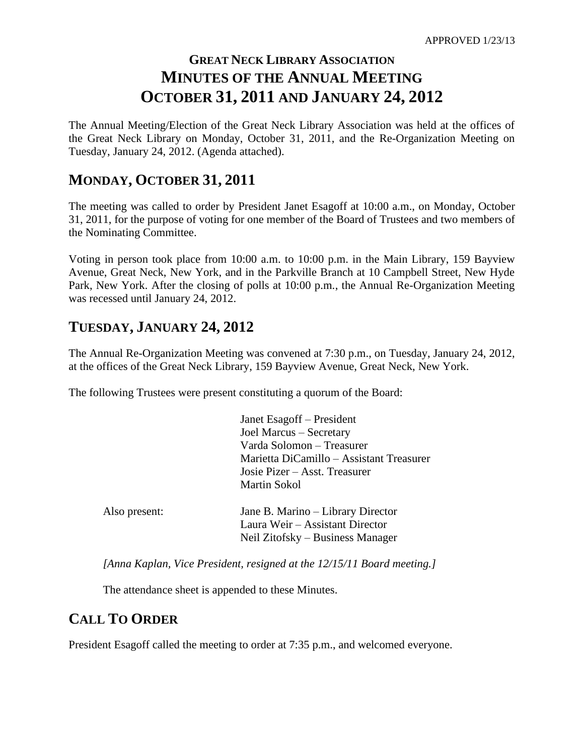# **GREAT NECK LIBRARY ASSOCIATION MINUTES OF THE ANNUAL MEETING OCTOBER 31, 2011 AND JANUARY 24, 2012**

The Annual Meeting/Election of the Great Neck Library Association was held at the offices of the Great Neck Library on Monday, October 31, 2011, and the Re-Organization Meeting on Tuesday, January 24, 2012. (Agenda attached).

### **MONDAY, OCTOBER 31, 2011**

The meeting was called to order by President Janet Esagoff at 10:00 a.m., on Monday, October 31, 2011, for the purpose of voting for one member of the Board of Trustees and two members of the Nominating Committee.

Voting in person took place from 10:00 a.m. to 10:00 p.m. in the Main Library, 159 Bayview Avenue, Great Neck, New York, and in the Parkville Branch at 10 Campbell Street, New Hyde Park, New York. After the closing of polls at 10:00 p.m., the Annual Re-Organization Meeting was recessed until January 24, 2012.

### **TUESDAY, JANUARY 24, 2012**

The Annual Re-Organization Meeting was convened at 7:30 p.m., on Tuesday, January 24, 2012, at the offices of the Great Neck Library, 159 Bayview Avenue, Great Neck, New York.

The following Trustees were present constituting a quorum of the Board:

|               | Janet Esagoff – President                                                                                |
|---------------|----------------------------------------------------------------------------------------------------------|
|               | Joel Marcus - Secretary                                                                                  |
|               | Varda Solomon – Treasurer                                                                                |
|               | Marietta DiCamillo - Assistant Treasurer                                                                 |
|               | Josie Pizer – Asst. Treasurer                                                                            |
|               | Martin Sokol                                                                                             |
| Also present: | Jane B. Marino – Library Director<br>Laura Weir – Assistant Director<br>Neil Zitofsky – Business Manager |

*[Anna Kaplan, Vice President, resigned at the 12/15/11 Board meeting.]*

The attendance sheet is appended to these Minutes.

### **CALL TO ORDER**

President Esagoff called the meeting to order at 7:35 p.m., and welcomed everyone.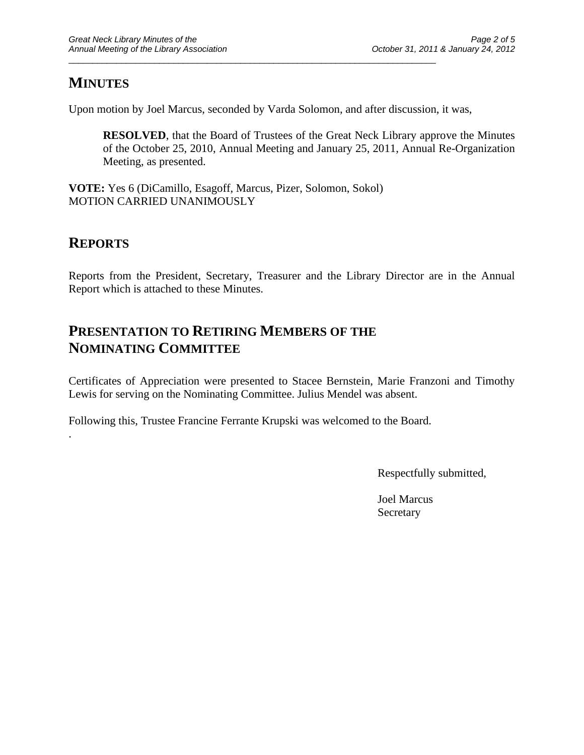## **MINUTES**

Upon motion by Joel Marcus, seconded by Varda Solomon, and after discussion, it was,

\_\_\_\_\_\_\_\_\_\_\_\_\_\_\_\_\_\_\_\_\_\_\_\_\_\_\_\_\_\_\_\_\_\_\_\_\_\_\_\_\_\_\_\_\_\_\_\_\_\_\_\_\_\_\_\_\_\_\_\_\_\_\_\_\_\_\_\_\_\_\_\_\_\_\_\_\_

**RESOLVED**, that the Board of Trustees of the Great Neck Library approve the Minutes of the October 25, 2010, Annual Meeting and January 25, 2011, Annual Re-Organization Meeting, as presented.

**VOTE:** Yes 6 (DiCamillo, Esagoff, Marcus, Pizer, Solomon, Sokol) MOTION CARRIED UNANIMOUSLY

### **REPORTS**

.

Reports from the President, Secretary, Treasurer and the Library Director are in the Annual Report which is attached to these Minutes.

## **PRESENTATION TO RETIRING MEMBERS OF THE NOMINATING COMMITTEE**

Certificates of Appreciation were presented to Stacee Bernstein, Marie Franzoni and Timothy Lewis for serving on the Nominating Committee. Julius Mendel was absent.

Following this, Trustee Francine Ferrante Krupski was welcomed to the Board.

Respectfully submitted,

Joel Marcus Secretary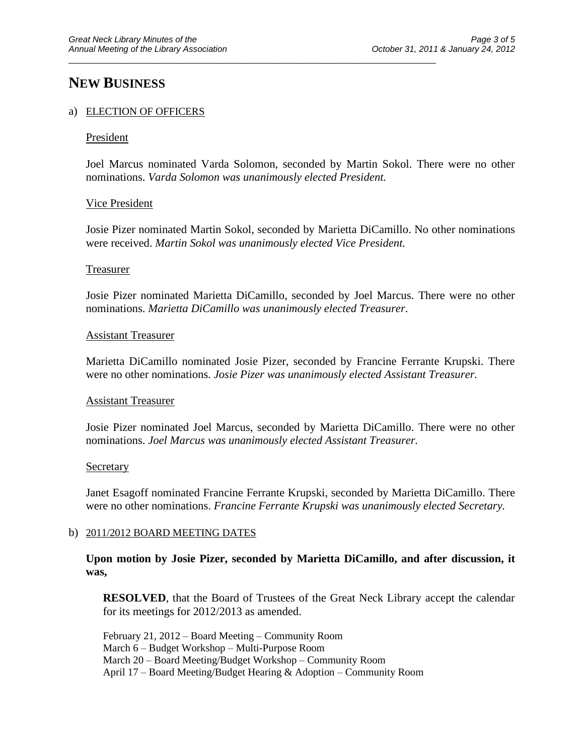### **NEW BUSINESS**

#### a) ELECTION OF OFFICERS

#### President

Joel Marcus nominated Varda Solomon, seconded by Martin Sokol. There were no other nominations. *Varda Solomon was unanimously elected President.*

\_\_\_\_\_\_\_\_\_\_\_\_\_\_\_\_\_\_\_\_\_\_\_\_\_\_\_\_\_\_\_\_\_\_\_\_\_\_\_\_\_\_\_\_\_\_\_\_\_\_\_\_\_\_\_\_\_\_\_\_\_\_\_\_\_\_\_\_\_\_\_\_\_\_\_\_\_

#### Vice President

Josie Pizer nominated Martin Sokol, seconded by Marietta DiCamillo. No other nominations were received. *Martin Sokol was unanimously elected Vice President.*

#### Treasurer

Josie Pizer nominated Marietta DiCamillo, seconded by Joel Marcus. There were no other nominations. *Marietta DiCamillo was unanimously elected Treasurer*.

#### Assistant Treasurer

Marietta DiCamillo nominated Josie Pizer, seconded by Francine Ferrante Krupski. There were no other nominations. *Josie Pizer was unanimously elected Assistant Treasurer.*

#### Assistant Treasurer

Josie Pizer nominated Joel Marcus, seconded by Marietta DiCamillo. There were no other nominations. *Joel Marcus was unanimously elected Assistant Treasurer.*

#### **Secretary**

Janet Esagoff nominated Francine Ferrante Krupski, seconded by Marietta DiCamillo. There were no other nominations. *Francine Ferrante Krupski was unanimously elected Secretary.*

#### b) 2011/2012 BOARD MEETING DATES

#### **Upon motion by Josie Pizer, seconded by Marietta DiCamillo, and after discussion, it was,**

**RESOLVED**, that the Board of Trustees of the Great Neck Library accept the calendar for its meetings for 2012/2013 as amended.

February 21, 2012 – Board Meeting – Community Room March 6 – Budget Workshop – Multi-Purpose Room March 20 – Board Meeting/Budget Workshop – Community Room April 17 – Board Meeting/Budget Hearing & Adoption – Community Room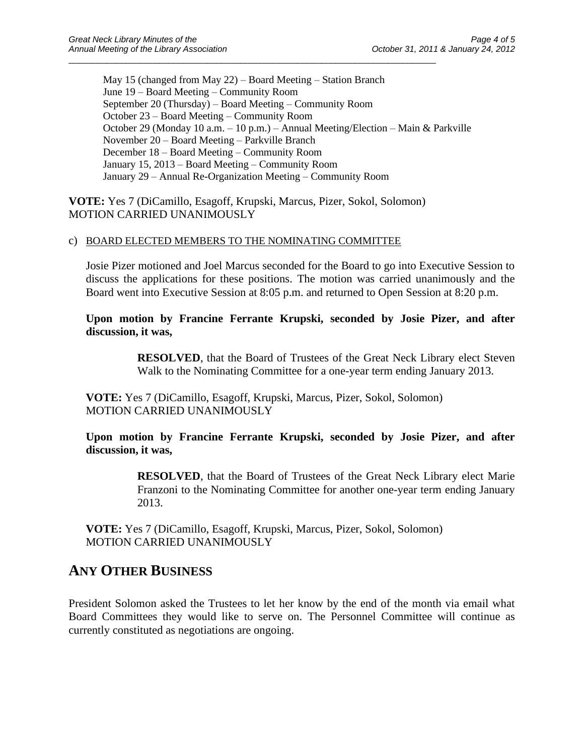May 15 (changed from May 22) – Board Meeting – Station Branch June 19 – Board Meeting – Community Room September 20 (Thursday) – Board Meeting – Community Room October 23 – Board Meeting – Community Room October 29 (Monday 10 a.m. – 10 p.m.) – Annual Meeting/Election – Main & Parkville November 20 – Board Meeting – Parkville Branch December 18 – Board Meeting – Community Room January 15, 2013 – Board Meeting – Community Room January 29 – Annual Re-Organization Meeting – Community Room

**VOTE:** Yes 7 (DiCamillo, Esagoff, Krupski, Marcus, Pizer, Sokol, Solomon) MOTION CARRIED UNANIMOUSLY

\_\_\_\_\_\_\_\_\_\_\_\_\_\_\_\_\_\_\_\_\_\_\_\_\_\_\_\_\_\_\_\_\_\_\_\_\_\_\_\_\_\_\_\_\_\_\_\_\_\_\_\_\_\_\_\_\_\_\_\_\_\_\_\_\_\_\_\_\_\_\_\_\_\_\_\_\_

#### c) BOARD ELECTED MEMBERS TO THE NOMINATING COMMITTEE

Josie Pizer motioned and Joel Marcus seconded for the Board to go into Executive Session to discuss the applications for these positions. The motion was carried unanimously and the Board went into Executive Session at 8:05 p.m. and returned to Open Session at 8:20 p.m.

**Upon motion by Francine Ferrante Krupski, seconded by Josie Pizer, and after discussion, it was,**

> **RESOLVED**, that the Board of Trustees of the Great Neck Library elect Steven Walk to the Nominating Committee for a one-year term ending January 2013.

**VOTE:** Yes 7 (DiCamillo, Esagoff, Krupski, Marcus, Pizer, Sokol, Solomon) MOTION CARRIED UNANIMOUSLY

**Upon motion by Francine Ferrante Krupski, seconded by Josie Pizer, and after discussion, it was,**

> **RESOLVED**, that the Board of Trustees of the Great Neck Library elect Marie Franzoni to the Nominating Committee for another one-year term ending January 2013.

**VOTE:** Yes 7 (DiCamillo, Esagoff, Krupski, Marcus, Pizer, Sokol, Solomon) MOTION CARRIED UNANIMOUSLY

### **ANY OTHER BUSINESS**

President Solomon asked the Trustees to let her know by the end of the month via email what Board Committees they would like to serve on. The Personnel Committee will continue as currently constituted as negotiations are ongoing.